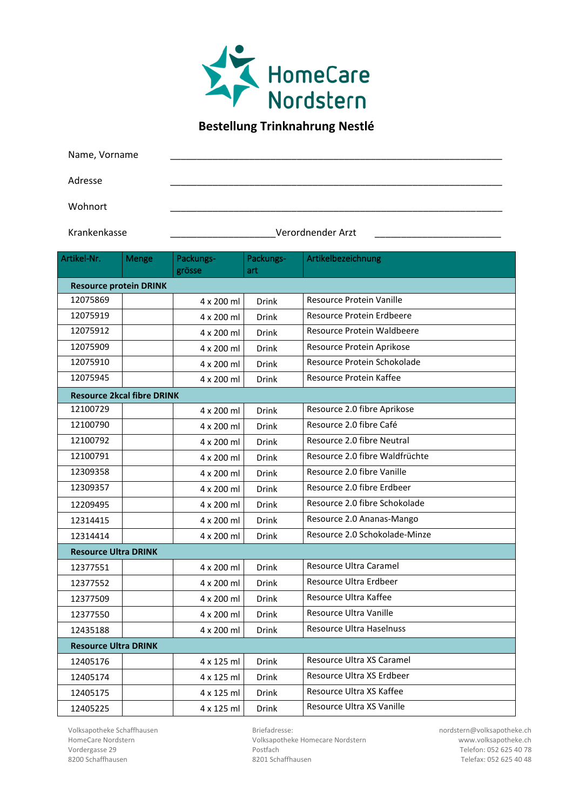

## **Bestellung Trinknahrung Nestlé**

Name, Vorname

Adresse \_\_\_\_\_\_\_\_\_\_\_\_\_\_\_\_\_\_\_\_\_\_\_\_\_\_\_\_\_\_\_\_\_\_\_\_\_\_\_\_\_\_\_\_\_\_\_\_\_\_\_\_\_\_\_\_\_\_\_\_\_\_\_

Wohnort \_\_\_\_\_\_\_\_\_\_\_\_\_\_\_\_\_\_\_\_\_\_\_\_\_\_\_\_\_\_\_\_\_\_\_\_\_\_\_\_\_\_\_\_\_\_\_\_\_\_\_\_\_\_\_\_\_\_\_\_\_\_\_

## Krankenkasse \_\_\_\_\_\_\_\_\_\_\_\_\_\_\_\_\_\_\_\_Verordnender Arzt \_\_\_\_\_\_\_\_\_\_\_\_\_\_\_\_\_\_\_\_\_\_\_\_

| Artikel-Nr.                 | Menge                             | Packungs-  | Packungs-    | Artikelbezeichnung             |  |  |
|-----------------------------|-----------------------------------|------------|--------------|--------------------------------|--|--|
|                             |                                   | grösse     | art          |                                |  |  |
|                             | <b>Resource protein DRINK</b>     |            |              |                                |  |  |
| 12075869                    |                                   | 4 x 200 ml | <b>Drink</b> | Resource Protein Vanille       |  |  |
| 12075919                    |                                   | 4 x 200 ml | <b>Drink</b> | Resource Protein Erdbeere      |  |  |
| 12075912                    |                                   | 4 x 200 ml | Drink        | Resource Protein Waldbeere     |  |  |
| 12075909                    |                                   | 4 x 200 ml | <b>Drink</b> | Resource Protein Aprikose      |  |  |
| 12075910                    |                                   | 4 x 200 ml | <b>Drink</b> | Resource Protein Schokolade    |  |  |
| 12075945                    |                                   | 4 x 200 ml | Drink        | Resource Protein Kaffee        |  |  |
|                             | <b>Resource 2kcal fibre DRINK</b> |            |              |                                |  |  |
| 12100729                    |                                   | 4 x 200 ml | <b>Drink</b> | Resource 2.0 fibre Aprikose    |  |  |
| 12100790                    |                                   | 4 x 200 ml | <b>Drink</b> | Resource 2.0 fibre Café        |  |  |
| 12100792                    |                                   | 4 x 200 ml | <b>Drink</b> | Resource 2.0 fibre Neutral     |  |  |
| 12100791                    |                                   | 4 x 200 ml | <b>Drink</b> | Resource 2.0 fibre Waldfrüchte |  |  |
| 12309358                    |                                   | 4 x 200 ml | <b>Drink</b> | Resource 2.0 fibre Vanille     |  |  |
| 12309357                    |                                   | 4 x 200 ml | Drink        | Resource 2.0 fibre Erdbeer     |  |  |
| 12209495                    |                                   | 4 x 200 ml | <b>Drink</b> | Resource 2.0 fibre Schokolade  |  |  |
| 12314415                    |                                   | 4 x 200 ml | <b>Drink</b> | Resource 2.0 Ananas-Mango      |  |  |
| 12314414                    |                                   | 4 x 200 ml | Drink        | Resource 2.0 Schokolade-Minze  |  |  |
| <b>Resource Ultra DRINK</b> |                                   |            |              |                                |  |  |
| 12377551                    |                                   | 4 x 200 ml | <b>Drink</b> | Resource Ultra Caramel         |  |  |
| 12377552                    |                                   | 4 x 200 ml | <b>Drink</b> | Resource Ultra Erdbeer         |  |  |
| 12377509                    |                                   | 4 x 200 ml | Drink        | Resource Ultra Kaffee          |  |  |
| 12377550                    |                                   | 4 x 200 ml | Drink        | Resource Ultra Vanille         |  |  |
| 12435188                    |                                   | 4 x 200 ml | Drink        | Resource Ultra Haselnuss       |  |  |
| <b>Resource Ultra DRINK</b> |                                   |            |              |                                |  |  |
| 12405176                    |                                   | 4 x 125 ml | <b>Drink</b> | Resource Ultra XS Caramel      |  |  |
| 12405174                    |                                   | 4 x 125 ml | <b>Drink</b> | Resource Ultra XS Erdbeer      |  |  |
| 12405175                    |                                   | 4 x 125 ml | Drink        | Resource Ultra XS Kaffee       |  |  |
| 12405225                    |                                   | 4 x 125 ml | Drink        | Resource Ultra XS Vanille      |  |  |

Volksapotheke Schaffhausen Briefadresse: nordstern@volksapotheke.ch

HomeCare Nordstern **HomeCare Nordstern** Volksapotheke Homecare Nordstern www.volksapotheke.ch<br>Vordergasse 29 **Postfach** Postfach Postfach 8200 Schaffhausen 8201 Schaffhausen Telefax: 052 625 40 48

Telefon: 052 625 40 78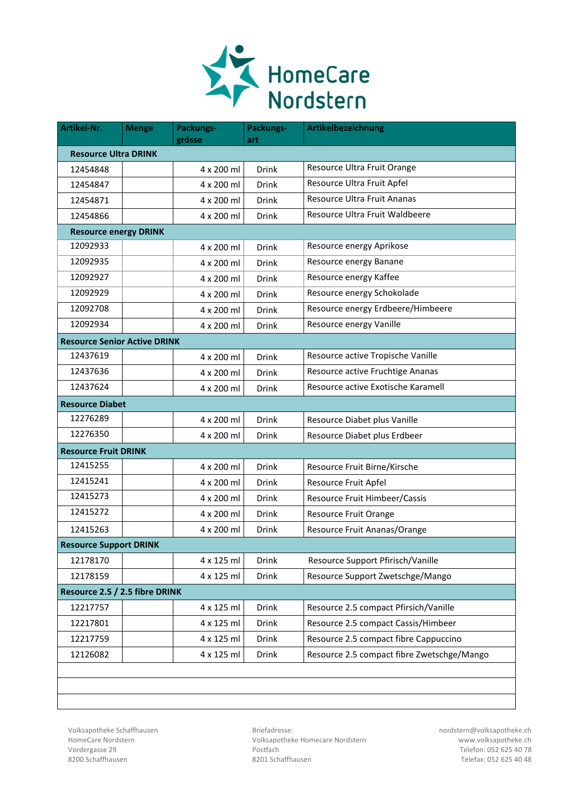

| Artikel-Nr.                         | <b>Menge</b> | Packungs-<br>grösse | Packungs-<br>art | Artikelbezeichnung                         |  |
|-------------------------------------|--------------|---------------------|------------------|--------------------------------------------|--|
| <b>Resource Ultra DRINK</b>         |              |                     |                  |                                            |  |
| 12454848                            |              | 4 x 200 ml          | <b>Drink</b>     | Resource Ultra Fruit Orange                |  |
| 12454847                            |              | 4 x 200 ml          | <b>Drink</b>     | Resource Ultra Fruit Apfel                 |  |
| 12454871                            |              | 4 x 200 ml          | Drink            | Resource Ultra Fruit Ananas                |  |
| 12454866                            |              | 4 x 200 ml          | <b>Drink</b>     | Resource Ultra Fruit Waldbeere             |  |
| <b>Resource energy DRINK</b>        |              |                     |                  |                                            |  |
| 12092933                            |              | 4 x 200 ml          | <b>Drink</b>     | Resource energy Aprikose                   |  |
| 12092935                            |              | 4 x 200 ml          | <b>Drink</b>     | Resource energy Banane                     |  |
| 12092927                            |              | 4 x 200 ml          | <b>Drink</b>     | Resource energy Kaffee                     |  |
| 12092929                            |              | 4 x 200 ml          | Drink            | Resource energy Schokolade                 |  |
| 12092708                            |              | 4 x 200 ml          | Drink            | Resource energy Erdbeere/Himbeere          |  |
| 12092934                            |              | 4 x 200 ml          | Drink            | Resource energy Vanille                    |  |
| <b>Resource Senior Active DRINK</b> |              |                     |                  |                                            |  |
| 12437619                            |              | 4 x 200 ml          | Drink            | Resource active Tropische Vanille          |  |
| 12437636                            |              | 4 x 200 ml          | Drink            | Resource active Fruchtige Ananas           |  |
| 12437624                            |              | 4 x 200 ml          | Drink            | Resource active Exotische Karamell         |  |
| <b>Resource Diabet</b>              |              |                     |                  |                                            |  |
| 12276289                            |              | 4 x 200 ml          | <b>Drink</b>     | Resource Diabet plus Vanille               |  |
| 12276350                            |              | 4 x 200 ml          | Drink            | Resource Diabet plus Erdbeer               |  |
| <b>Resource Fruit DRINK</b>         |              |                     |                  |                                            |  |
| 12415255                            |              | 4 x 200 ml          | <b>Drink</b>     | Resource Fruit Birne/Kirsche               |  |
| 12415241                            |              | 4 x 200 ml          | <b>Drink</b>     | Resource Fruit Apfel                       |  |
| 12415273                            |              | 4 x 200 ml          | <b>Drink</b>     | Resource Fruit Himbeer/Cassis              |  |
| 12415272                            |              | 4 x 200 ml          | Drink            | <b>Resource Fruit Orange</b>               |  |
| 12415263                            |              | 4 x 200 ml          | Drink            | Resource Fruit Ananas/Orange               |  |
| <b>Resource Support DRINK</b>       |              |                     |                  |                                            |  |
| 12178170                            |              | 4 x 125 ml          | Drink            | Resource Support Pfirisch/Vanille          |  |
| 12178159                            |              | 4 x 125 ml          | Drink            | Resource Support Zwetschge/Mango           |  |
| Resource 2.5 / 2.5 fibre DRINK      |              |                     |                  |                                            |  |
| 12217757                            |              | 4 x 125 ml          | <b>Drink</b>     | Resource 2.5 compact Pfirsich/Vanille      |  |
| 12217801                            |              | 4 x 125 ml          | Drink            | Resource 2.5 compact Cassis/Himbeer        |  |
| 12217759                            |              | 4 x 125 ml          | <b>Drink</b>     | Resource 2.5 compact fibre Cappuccino      |  |
| 12126082                            |              | 4 x 125 ml          | Drink            | Resource 2.5 compact fibre Zwetschge/Mango |  |
|                                     |              |                     |                  |                                            |  |

Volksapotheke Schaffhausen Briefadresse: nordstern@volksapotheke.ch HomeCare Nordstern **HomeCare Nordstern** Volksapotheke Homecare Nordstern www.volksapotheke.ch<br>Vordergasse 29 **Postfach** Postfach Postfach Vordergasse 29 Postfach Telefon: 052 625 40 78 8200 Schaffhausen 8201 Schaffhausen Telefax: 052 625 40 48